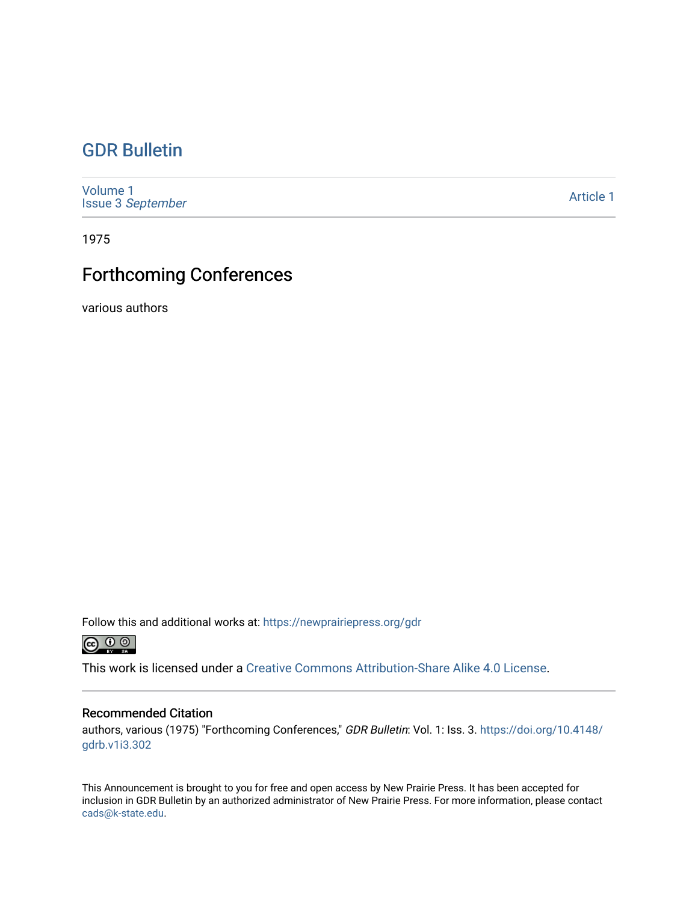### [GDR Bulletin](https://newprairiepress.org/gdr)

[Volume 1](https://newprairiepress.org/gdr/vol1) Issue 3 [September](https://newprairiepress.org/gdr/vol1/iss3)

[Article 1](https://newprairiepress.org/gdr/vol1/iss3/1) 

1975

## Forthcoming Conferences

various authors

Follow this and additional works at: [https://newprairiepress.org/gdr](https://newprairiepress.org/gdr?utm_source=newprairiepress.org%2Fgdr%2Fvol1%2Fiss3%2F1&utm_medium=PDF&utm_campaign=PDFCoverPages) 



This work is licensed under a [Creative Commons Attribution-Share Alike 4.0 License.](https://creativecommons.org/licenses/by-sa/4.0/)

#### Recommended Citation

authors, various (1975) "Forthcoming Conferences," GDR Bulletin: Vol. 1: Iss. 3. [https://doi.org/10.4148/](https://doi.org/10.4148/gdrb.v1i3.302) [gdrb.v1i3.302](https://doi.org/10.4148/gdrb.v1i3.302) 

This Announcement is brought to you for free and open access by New Prairie Press. It has been accepted for inclusion in GDR Bulletin by an authorized administrator of New Prairie Press. For more information, please contact [cads@k-state.edu.](mailto:cads@k-state.edu)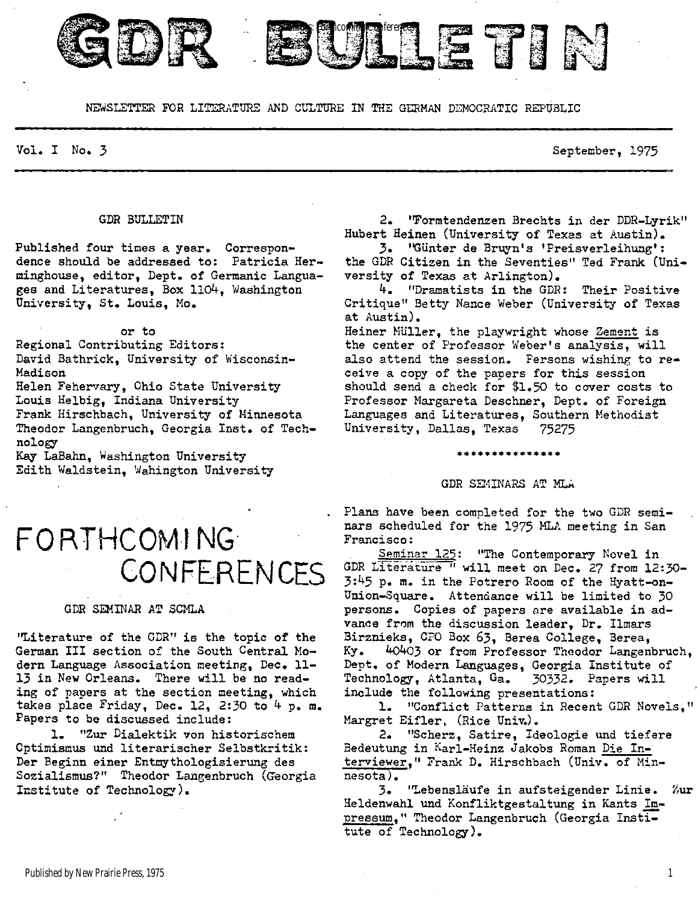

**BULLETIN** 

Vol. I No. 3 September, 1975

#### GDR BULLETIN

Published four times a year. Correspondence should be addressed to: Patricia Herminghouse, editor, Dept. of Germanic Languages and Literatures, Box 1104, Washington University, St. Louis, Mo.

or to Regional Contributing Editors : David Bathrick, University of Wisconsin-Madison

Helen Fehervary, Ohio State University Louis Helbig, Indiana University Frank Hirschbach, University of Minnesota Theodor Langenbruch, Georgia Inst. of Technology

Kay LaBahn, Washington University Edith Waldstein, Wahington University

## **FORTHCOMING CONFERENCES**

#### GDR SEMINAR AT SCMLA

"Literature of the GDR" is the topic of the German III section of the South Central Modern Language Association meeting, Dec. 11-13 in New Orleans. There will be no reading of papers at the section meeting, which takes place Friday, Dec. 12, 2:30 to  $4\,$  p. m. Papers to be discussed include :

1. "Zur Dialektik von historischem Optimismus und literarischer Selbstkritik: Der Beginn einer Entmythologisierung des Sozialismus?" Theodor Langenbruch (Georgia Institute of Technology).

2. 'Formtendenzen Brechts in der DDR-Lyrik" Hubert Heinen (University of Texas at Austin).

3. "Gunter de Bruyn's 'Preisverleihung': the GDR Citizen in the Seventies" Ted Frank (University of Texas at Arlington).

4. "Dramatists in the GDR: Their Positive Critique" Betty Nance Weber (University of Texas at Austin) .

Heiner Müller, the playwright whose Zement is the center of Professor Weber's analysis, will also attend the session. Fersons wishing to receive a copy of the papers for this session should send a check for  $$1.50$  to cover costs to Professor Margareta Deschner, Dept. of Foreign Languages and Literatures, Southern Methodist University, Dallas, Texas 75275

#### GDR SEMINARS AT MLA

**\*\*\*\*\*\*\*\*\*\*\*\*\*\*\*** 

Plans have been completed for the two GDR seminars scheduled for the 1975 MLA meeting in San Francisco:

Seminar 125: "The Contemporary Novel in GDR Literature " will meet on Dec. 27 from 12:30-3:45 p. m. in the Potrero Room of the Hyatt-on-Union-Square. Attendance will be limited to 30 persons. Copies of papers are available in advance from the discussion leader, Dr. Ilmars Birznieks, CPO Box 63, Berea College, Berea, Ky. 4o403 or from Professor Theodor Langenbruch, Dept. of Modern Languages, Georgia Institute of Technology, Atlanta, Ga. 30332. Papers will include the following presentations:

1. "Conflict Patterns in Recent GDR Novels," Margret Eifler, (Rice Univ.).

2. "Scherz, Satire, Ideologie und tiefere Bedeutung in Karl-Heinz Jakobs Roman Die Interviewer," Frank D. Hirschbach (Univ. of Min $nesota)$ .

3. 'Lebensläufe in aufsteigender Linie. Zur Heldenwahl und Konfliktgestaltung in Kants Impressum," Theodor Langenbruch (Georgia Institute of Technology).

1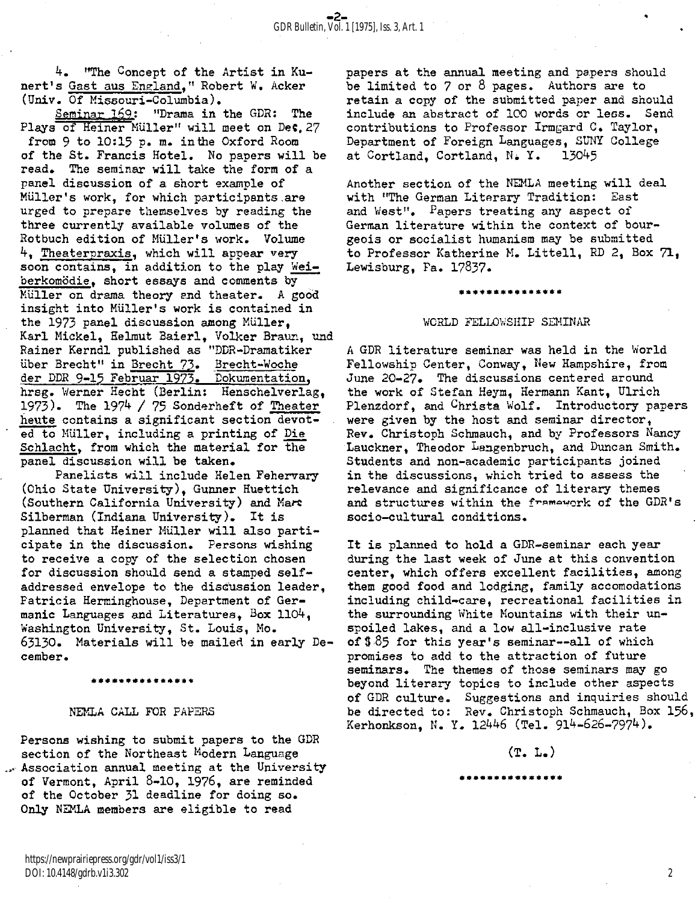4. "The Concept of the Artist in Kunert's Gast aus England," Robert W. Acker (Univ. Of Missouri-Columbia).

Seminar 169: "Drama in the GDR: The Plays of Heiner Müller" will meet on Dec, 27 from  $9$  to 10:15 p. m. in the Oxford Room of the St. Francis Hotel. No papers will be read. The seminar will take the form of a panel discussion of a short example of Müller's work, for which participants.are urged to prepare themselves by reading the three currently available volumes of the Rotbuch edition of Müller's work. Volume 4, Theaterpraxis, which will appear very soon contains, in addition to the play Weiberkomödie, short essays and comments by Muller on drama theory and theater. A good insight into Müller's work is contained in the 1973 panel discussion among Müller, Karl Mickel, Helmut Baierl, Volker Braun, und Rainer Kerndl published as "DDR-Dramatiker über Brecht" in Brecht 73. Brecht-Woche der DDR 9-15 Februar 1973. Dokumentation, hrsg. Werner Hecht (Berlin: Henschelverlag, 1973). The 1974 / 75 Sonderheft of Theater heute contains a significant section devoted to Müller, including a printing of Die Schlacht, from which the material for the panel discussion will be taken.

Panelists will include Helen Fehervary (Ohio State University) , Gunner Huettich (Southern California University) and Marc Silberman (Indiana University). It is planned that Heiner Müller will also participate in the discussion. Persons wishing to receive a copy of the selection chosen for discussion should send a stamped selfaddressed envelope to the discussion leader, Patricia Herminghouse, Department of Germanic Languages and Literatures, Box 1104, Washington University, St. Louis, Mo. 63130. Materials will be mailed in early December.

**\*\*\*\*\*\*\*\*\*\*\*\*\*\* \*** 

#### NEMLA CALL FOR PAPERS

Persons wishing to submit papers to the GDR section of the Northeast Modern Language  $\sim$  Association annual meeting at the University of Vermont, April  $8-10$ , 1976, are reminded of the October 31 deadline for doing so. Only NEMLA members are eligible to read

https://newprairiepress.org/gdr/vol1/iss3/1 DOI: 10.4148/gdrb.v1i3.302

papers at the annual meeting and papers should be limited to  $7$  or  $8$  pages. Authors are to retain a copy of the submitted paper and should include an abstract of 100 words or less. Send contributions to Professor Irmgard C. Taylor, Department of Foreign Languages, SUNY College at Cortland, Cortland, N. Y. 13045

Another section of the NEMLA meeting will deal with "The German Literary Tradition: East and West". Papers treating any aspect of German literature within the context of bourgeois or socialist humanism may be submitted to Professor Katherine M. Littell, RD 2, Box 71, Lewisburg, Pa. 17837.

#### **\*\*\*\*\*\*\*\*\*\*\*\*\*\*\***

#### WORLD FELLOWSHIP SEMINAR

A GDR literature seminar was held in the World Fellowship Center, Conway, New Hampshire, from June 20-27. The discussions centered around the work of Stefan Heym, Hermann Kant, Ulrich Plenzdorf, and Christa Wolf. Introductory papers were given by the host and seminar director, Rev. Christoph Schmauch, and by Professors Nancy Lauckner, Theodor Langenbruch, and Duncan Smith. Students and non-academic participants joined in the discussions, which tried to assess the relevance and significance of literary themes and structures within the framework of the GDR's socio-cultural conditions.

It is planned to hold a GDR-seminar each year during the last week of June at this convention center, which offers excellent facilities, among them good food and lodging, family accomodations including child-care, recreational facilities in the surrounding White Mountains with their unspoiled lakes, and a low all-inclusive rate of  $$85$  for this year's seminar--all of which promises to add to the attraction of future seminars. The themes of those seminars may go beyond literary topics to include other aspects of GDR culture. Suggestions and inquiries should be directed to: Rev. Christoph Schmauch, Box 156, Kerhonkson, N. Y. 12446 (Tel. 914-626-7974).

#### $(T. L_{\bullet})$

\*\*\*\*\*\*\*\*\*\*\*\*\*

2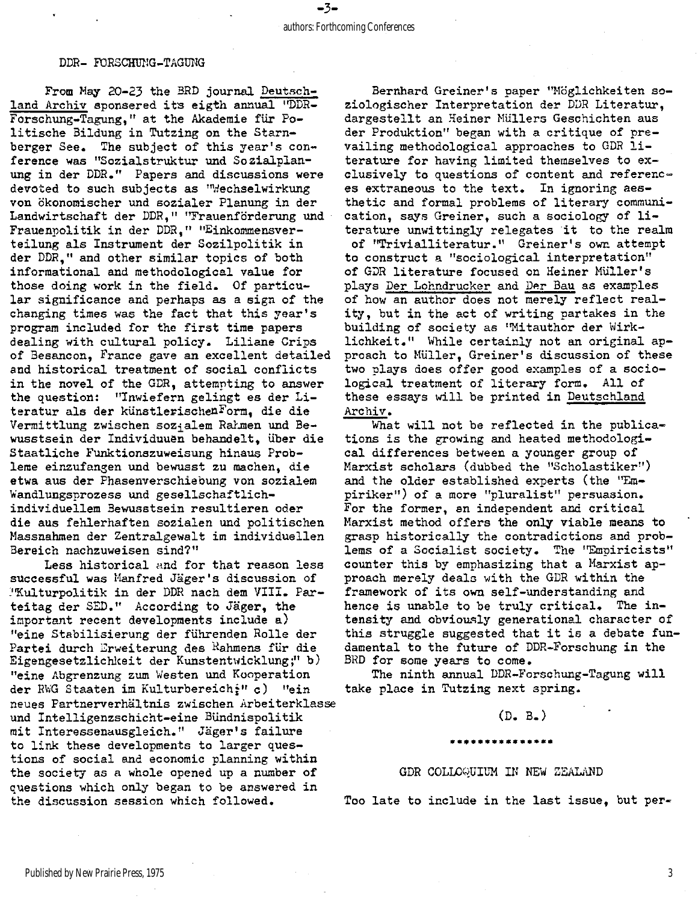#### DDR- FORSCHUNG-TAGUNG

From May 20-23 the BRD journal Deutschland Archiv sponsered its eigth annual "DDR-Forschung-Tagung," at the Akademie für Politische Bildung in Tutzing on the Starnberger See. The subject of this year's conference was "Sozialstruktur und Sozialplanung in der DDR." Papers and discussions were devoted to such subjects as "Wechselwirkung von ökonomischer und sozialer Planung in der Landwirtschaft der DDR," "Frauenförderung und Frauenpolitik in der DDR," "Einkommensverteilung als Instrument der Sozilpolitik in der DDR," and other similar topics of both informational and methodological value for those doing work in the field. Of particular significance and perhaps as a sign of the changing times was the fact that this year's program included for the first time papers dealing with cultural policy. Liliane Crips of Besancon, France gave an excellent detailed and historical treatment of social conflicts in the novel of the GDR, attempting to answer the question: "Inwiefern gelingt es der Literatur als der künstlerischenForm, die die Vermittlung zwischen sozialem Rahmen und Bewusstsein der Individuuen behandelt, iiber die Staatliche Funktionszuweisung hinaus Probleme einzufangen und bewusst zu machen, die etwa aus der Phasenverschiebung von sozialem Wandlungsprozess und gesellschaftlichindividuellem Bewusstsein resultieren oder die aus fehlerhaften sozialen und politischen Massnahmen der Zentralgewalt im individuellen Bereich nachzuweisen sind? "

Less historical and for that reason less successful was Manfred Jäger's discussion of "Kulturpolitik in der DDR nach dem VIII. Parteitag der SED." According to Jäger, the important recent developments include a) "eine Stabilisierung der führenden Rolle der Partei durch Erweiterung des <sup>R</sup>ahmens für die Eigengesetzlichkeit der Kunstentwicklung;" b) "eine Abgrenzung zum Westen und Kooperation der RWG Staaten im Kulturbereich;" c) "ein neues Partnerverhältnis zwischen Arbeiterklasse und Intelligenzschicht-eine Bündnispolitik mit Interessenausgleich." Jäger's failure to link these developments to larger questions of social and economic planning within the society as a whole opened up a number of questions which only began to be answered in the discussion session which followed.

Bernhard Greiner's paper "Möglichkeiten soziologischer Interpretation der DDR Literatur. dargestellt an Heiner Müllers Geschichten aus der Produktion" began with a critique of prevailing methodological approaches to GDR  $li$ terature for having limited themselves to exclusively to questions of content and references extraneous to the text. In ignoring aesthetic and formal problems of literary communication, says Greiner, such a sociology of literature unwittingly relegates it to the realm of "Trivialliteratur. " Greiner's own attempt to construct a "sociological interpretation" of GDR literature focused on Heiner Müller's plays Per Lohndrucker and Per Bau as examples of how an author does not merely reflect reality, but in the act of writing partakes in the building of society as "Mitauthor der Wirklichkeit." While certainly not an original approach to Müller, Greiner's discussion of these two plays does offer good examples of a sociological treatment of literary form. All of these essays will be printed in Deutschland Archiv.

What will not be reflected in the publications is the growing and heated methodological differences between a younger group of Marxist scholars (dubbed the "Scholastiker") and the older established experts (the "Empiriker") of a more "pluralist" persuasion. For the former, an independent and critical Marxist method offers the only viable means to grasp historically the contradictions and problems of a Socialist society. The "Empiricists" counter this by emphasizing that a Marxist approach merely deals with the GDR within the framework of its own self-understanding and hence is unable to be truly critical. The intensity and obviously generational character of this struggle suggested that it is a debate fundamental to the future of DDR-Forschung in the BRD for some years to come.

The ninth annual DDR-Forschung-Tagung will take place in Tutzing next spring.

#### (D. B.)

#### \*\*\*\*\*\*\*\*\*\*\*\*\*\*\*

#### GDR COLLOQUIUM IN NEW ZEALAND

Too late to include in the last issue, but per-

3